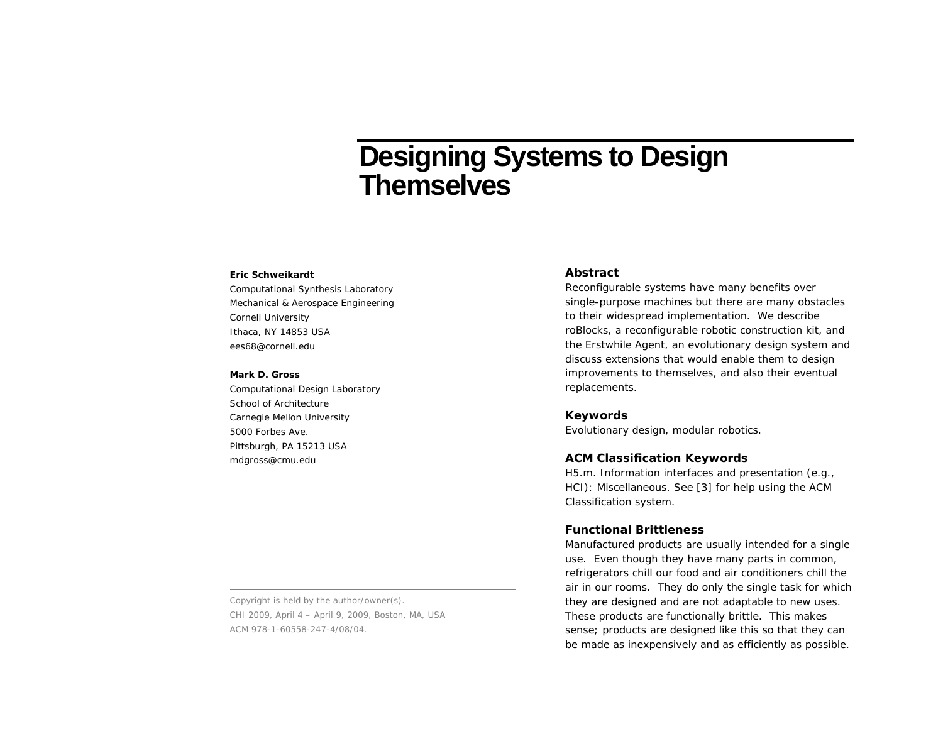# **Designing Systems to Design Themselves**

#### **Eric Schweikardt**

Computational Synthesis Laboratory Mechanical & Aerospace Engineering Cornell University Ithaca, NY 14853 USA ees68@cornell.edu

#### **Mark D. Gross**

Computational Design Laboratory School of Architecture Carnegie Mellon University 5000 Forbes Ave. Pittsburgh, PA 15213 USA mdgross@cmu.edu

### **Abstract**

Reconfigurable systems have many benefits over single-purpose machines but there are many obstacles to their widespread implementation. We describe roBlocks, a reconfigurable robotic construction kit, and the Erstwhile Agent, an evolutionary design system and discuss extensions that would enable them to design improvements to themselves, and also their eventual replacements.

#### **Keywords**

Evolutionary design, modular robotics.

#### **ACM Classification Keywords**

H5.m. Information interfaces and presentation (e.g., HCI): Miscellaneous. See [3] for help using the ACM Classification system.

## **Functional Brittleness**

Manufactured products are usually intended for a single use. Even though they have many parts in common, refrigerators chill our food and air conditioners chill the air in our rooms. They do only the single task for which they are designed and are not adaptable to new uses. These products are *functionally brittle.* This makes sense; products are designed like this so that they can be made as inexpensively and as efficiently as possible.

Copyright is held by the author/owner(s). CHI 2009, April 4 – April 9, 2009, Boston, MA, USA ACM 978-1-60558-247-4/08/04.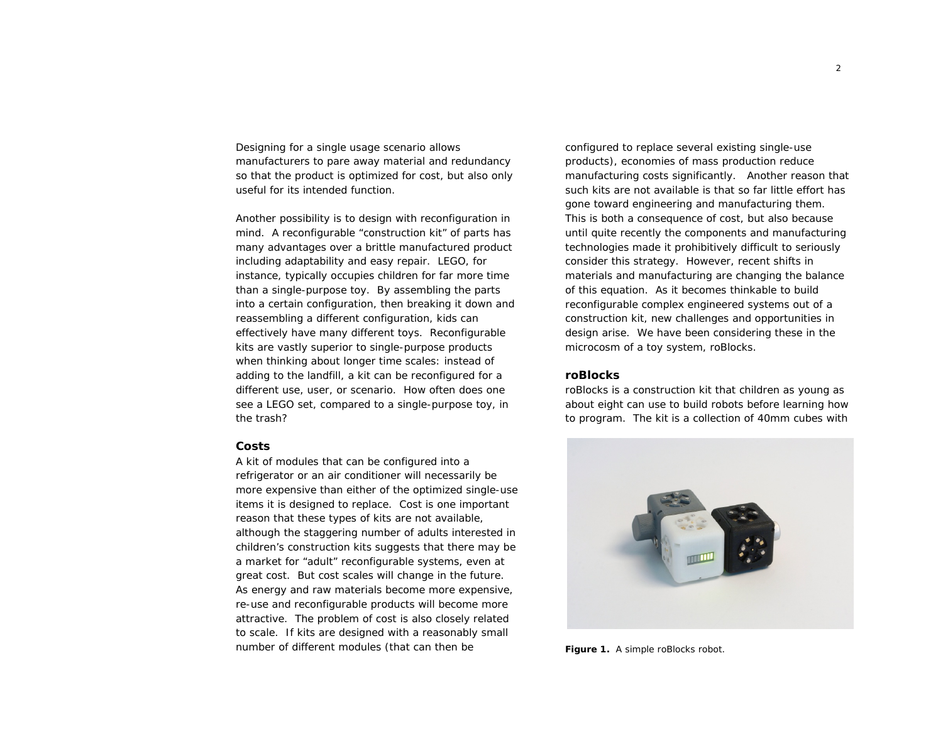Designing for a single usage scenario allows manufacturers to pare away material and redundancy so that the product is optimized for cost, but also only useful for its intended function.

Another possibility is to design with reconfiguration in mind. A reconfigurable "construction kit" of parts has many advantages over a brittle manufactured product including adaptability and easy repair. LEGO, for instance, typically occupies children for far more time than a single-purpose toy. By assembling the parts into a certain configuration, then breaking it down and reassembling a different configuration, kids can effectively have many different toys. Reconfigurable kits are vastly superior to single-purpose products when thinking about longer time scales: instead of adding to the landfill, a kit can be reconfigured for a different use, user, or scenario. How often does one see a LEGO set, compared to a single-purpose toy, in the trash?

#### **Costs**

A kit of modules that can be configured into a refrigerator or an air conditioner will necessarily be more expensive than either of the optimized single-use items it is designed to replace. Cost is one important reason that these types of kits are not available, although the staggering number of adults interested in children's construction kits suggests that there may be a market for "adult" reconfigurable systems, even at great cost. But cost scales will change in the future. As energy and raw materials become more expensive, re-use and reconfigurable products will become more attractive. The problem of cost is also closely related to scale. If kits are designed with a reasonably small number of different modules (that can then be

configured to replace several existing single-use products), economies of mass production reduce manufacturing costs significantly. Another reason that such kits are not available is that so far little effort has gone toward engineering and manufacturing them. This is both a consequence of cost, but also because until quite recently the components and manufacturing technologies made it prohibitively difficult to seriously consider this strategy. However, recent shifts in materials and manufacturing are changing the balance of this equation. As it becomes thinkable to build reconfigurable complex engineered systems out of a construction kit, new challenges and opportunities in design arise. We have been considering these in the microcosm of a toy system, roBlocks.

#### **roBlocks**

roBlocks is a construction kit that children as young as about eight can use to build robots before learning how to program. The kit is a collection of 40mm cubes with



**Figure 1.** A simple roBlocks robot.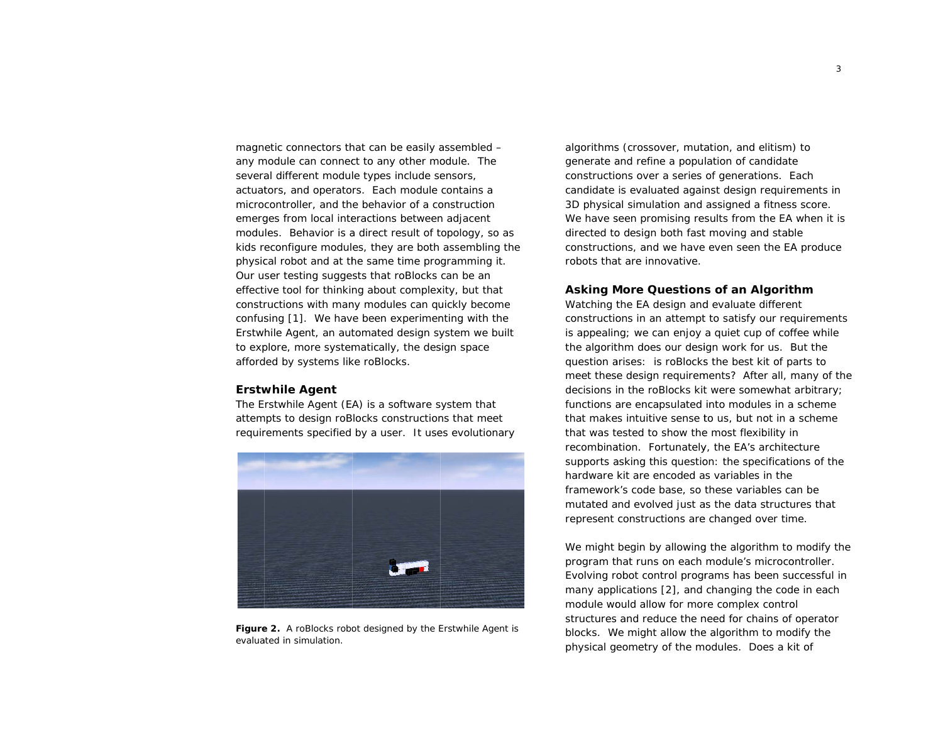magnetic connectors that can be easily assembled any module can connect to any other module. The several different module types include sensors, actuators, and operators. Each module contains a microcontroller, and the behavior of a construction emerges from local interactions between adjacent modules. Behavior is a direct result of topology, so as kids reconfigure modules, they are both assembling the physical robot and at the same time programming it. Our user testing suggests that roBlocks can be an effective tool for thinking about complexity, but that constructions with many modules can quickly become confusing [1]. We have been experimenting with the Erstwhile Agent, an automated design system we built to explore, more systematically, the design space afforded by systems like roBlocks.

#### **Erstwhile Agent**

The Erstwhile Agent (EA) is a software system that attempts to design roBlocks constructions that meet requirements specified by a user. It uses evolutionary



Figure 2. A roBlocks robot designed by the Erstwhile Agent is evaluated in simulation.

algorithms (crossover, mutation, and elitism) to generate and refine a population of candidate constructions over a series of generations. Each candidate is evaluated against design requirements in 3D physical simulation and assigned a fitness score. We have seen promising results from the EA when it is directed to design both fast moving and stable constructions, and we have even seen the EA produce robots that are innovative.

#### Asking More Questions of an Algorithm

Watching the EA design and evaluate different constructions in an attempt to satisfy our requirements is appealing; we can enjoy a quiet cup of coffee while the algorithm does our design work for us. But the question arises: is roBlocks the best kit of parts to meet these design requirements? After all, many of the decisions in the roBlocks kit were somewhat arbitrary; functions are encapsulated into modules in a scheme that makes intuitive sense to us, but not in a scheme that was tested to show the most flexibility in recombination. Fortunately, the EA's architecture supports asking this question: the specifications of the hardware kit are encoded as variables in the framework's code base, so these variables can be mutated and evolved just as the data structures that represent constructions are changed over time.

We might begin by allowing the algorithm to modify the program that runs on each module's microcontroller. Evolving robot control programs has been successful in many applications [2], and changing the code in each module would allow for more complex control structures and reduce the need for chains of operator blocks. We might allow the algorithm to modify the physical geometry of the modules. Does a kit of